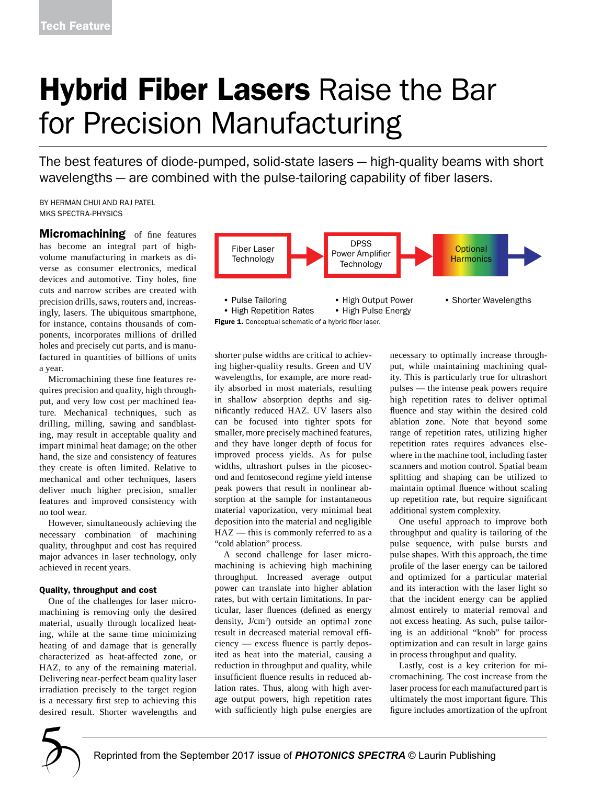# **Hybrid Fiber Lasers Raise the Bar** for Precision Manufacturing

The best features of diode-pumped, solid-state lasers — high-quality beams with short wavelengths — are combined with the pulse-tailoring capability of fiber lasers.

BY HERMAN CHUI AND RAJ PATEL MKS SPECTRA-PHYSICS

**Micromachining** of fine features has become an integral part of highvolume manufacturing in markets as diverse as consumer electronics, medical devices and automotive. Tiny holes, fine cuts and narrow scribes are created with precision drills, saws, routers and, increasingly, lasers. The ubiquitous smartphone, for instance, contains thousands of components, incorporates millions of drilled holes and precisely cut parts, and is manufactured in quantities of billions of units a year.

Micromachining these fine features requires precision and quality, high throughput, and very low cost per machined feature. Mechanical techniques, such as drilling, milling, sawing and sandblasting, may result in acceptable quality and impart minimal heat damage; on the other hand, the size and consistency of features they create is often limited. Relative to mechanical and other techniques, lasers deliver much higher precision, smaller features and improved consistency with no tool wear.

However, simultaneously achieving the necessary combination of machining quality, throughput and cost has required major advances in laser technology, only achieved in recent years.

### Quality, throughput and cost

One of the challenges for laser micromachining is removing only the desired material, usually through localized heating, while at the same time minimizing heating of and damage that is generally characterized as heat-affected zone, or HAZ, to any of the remaining material. Delivering near-perfect beam quality laser irradiation precisely to the target region is a necessary first step to achieving this desired result. Shorter wavelengths and



shorter pulse widths are critical to achieving higher-quality results. Green and UV wavelengths, for example, are more readily absorbed in most materials, resulting in shallow absorption depths and significantly reduced HAZ. UV lasers also can be focused into tighter spots for smaller, more precisely machined features, and they have longer depth of focus for improved process yields. As for pulse widths, ultrashort pulses in the picosecond and femtosecond regime yield intense peak powers that result in nonlinear absorption at the sample for instantaneous material vaporization, very minimal heat deposition into the material and negligible HAZ — this is commonly referred to as a "cold ablation" process.

A second challenge for laser micromachining is achieving high machining throughput. Increased average output power can translate into higher ablation rates, but with certain limitations. In particular, laser fluences (defined as energy density, J/cm<sup>2</sup>) outside an optimal zone result in decreased material removal efficiency — excess fluence is partly deposited as heat into the material, causing a reduction in throughput and quality, while insufficient fluence results in reduced ablation rates. Thus, along with high average output powers, high repetition rates with sufficiently high pulse energies are

necessary to optimally increase throughput, while maintaining machining quality. This is particularly true for ultrashort pulses — the intense peak powers require high repetition rates to deliver optimal fluence and stay within the desired cold ablation zone. Note that beyond some range of repetition rates, utilizing higher repetition rates requires advances elsewhere in the machine tool, including faster scanners and motion control. Spatial beam splitting and shaping can be utilized to maintain optimal fluence without scaling up repetition rate, but require significant additional system complexity.

One useful approach to improve both throughput and quality is tailoring of the pulse sequence, with pulse bursts and pulse shapes. With this approach, the time profile of the laser energy can be tailored and optimized for a particular material and its interaction with the laser light so that the incident energy can be applied almost entirely to material removal and annost entriery to materiar removar and<br>not excess heating. As such, pulse tailoring is an additional "knob" for process optimization and can result in large gains in process throughput and quality.<br>Lastly, sost is a low gritorian

Lastly, cost is a key criterion for micromachining. The cost increase from the laser process for each manufactured part is ultimately the most important figure. This figure includes amortization of the upfront

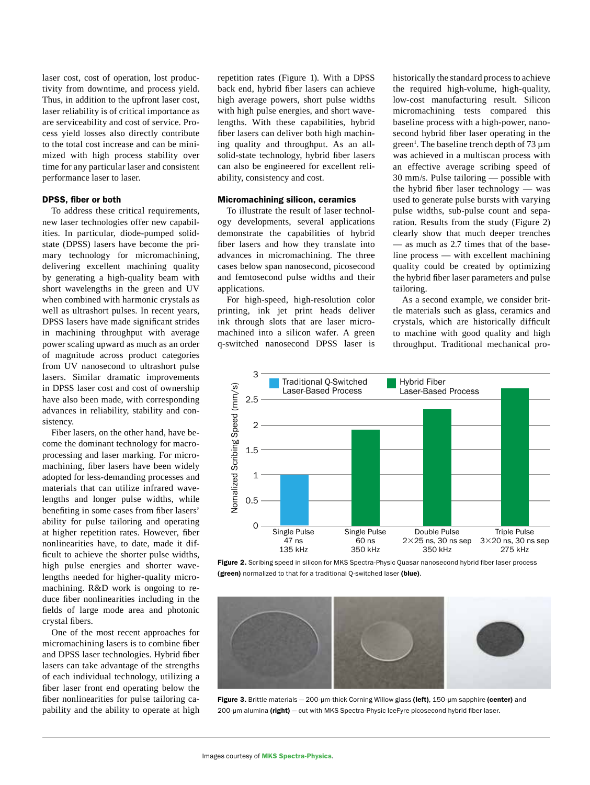laser cost, cost of operation, lost productivity from downtime, and process yield. Thus, in addition to the upfront laser cost, laser reliability is of critical importance as are serviceability and cost of service. Process yield losses also directly contribute to the total cost increase and can be minimized with high process stability over time for any particular laser and consistent performance laser to laser.

## DPSS, fiber or both

To address these critical requirements, new laser technologies offer new capabilities. In particular, diode-pumped solidstate (DPSS) lasers have become the primary technology for micromachining, delivering excellent machining quality by generating a high-quality beam with short wavelengths in the green and UV when combined with harmonic crystals as well as ultrashort pulses. In recent years, DPSS lasers have made significant strides in machining throughput with average power scaling upward as much as an order of magnitude across product categories from UV nanosecond to ultrashort pulse lasers. Similar dramatic improvements in DPSS laser cost and cost of ownership have also been made, with corresponding advances in reliability, stability and consistency.

Fiber lasers, on the other hand, have become the dominant technology for macroprocessing and laser marking. For micromachining, fiber lasers have been widely adopted for less-demanding processes and materials that can utilize infrared wavelengths and longer pulse widths, while benefiting in some cases from fiber lasers' ability for pulse tailoring and operating at higher repetition rates. However, fiber nonlinearities have, to date, made it difficult to achieve the shorter pulse widths, high pulse energies and shorter wavelengths needed for higher-quality micromachining. R&D work is ongoing to reduce fiber nonlinearities including in the fields of large mode area and photonic crystal fibers.

One of the most recent approaches for micromachining lasers is to combine fiber and DPSS laser technologies. Hybrid fiber lasers can take advantage of the strengths of each individual technology, utilizing a fiber laser front end operating below the fiber nonlinearities for pulse tailoring capability and the ability to operate at high

repetition rates (Figure 1). With a DPSS back end, hybrid fiber lasers can achieve high average powers, short pulse widths with high pulse energies, and short wavelengths. With these capabilities, hybrid fiber lasers can deliver both high machining quality and throughput. As an allsolid-state technology, hybrid fiber lasers can also be engineered for excellent reliability, consistency and cost.

## Micromachining silicon, ceramics

To illustrate the result of laser technology developments, several applications demonstrate the capabilities of hybrid fiber lasers and how they translate into advances in micromachining. The three cases below span nanosecond, picosecond and femtosecond pulse widths and their applications.

For high-speed, high-resolution color printing, ink jet print heads deliver ink through slots that are laser micromachined into a silicon wafer. A green q-switched nanosecond DPSS laser is

historically the standard process to achieve the required high-volume, high-quality, low-cost manufacturing result. Silicon micromachining tests compared this baseline process with a high-power, nanosecond hybrid fiber laser operating in the green<sup>1</sup>. The baseline trench depth of 73  $\rm \mu m$ was achieved in a multiscan process with an effective average scribing speed of 30 mm/s. Pulse tailoring — possible with the hybrid fiber laser technology — was used to generate pulse bursts with varying pulse widths, sub-pulse count and separation. Results from the study (Figure 2) clearly show that much deeper trenches — as much as 2.7 times that of the baseline process — with excellent machining quality could be created by optimizing the hybrid fiber laser parameters and pulse tailoring.

As a second example, we consider brittle materials such as glass, ceramics and crystals, which are historically difficult to machine with good quality and high throughput. Traditional mechanical pro-

PS September 2017



Figure 2. Scribing speed in silicon for MKS Spectra-Physic Quasar nanosecond hybrid fiber laser process (green) normalized to that for a traditional Q-switched laser (blue).



Figure 3. Brittle materials - 200-µm-thick Corning Willow glass (left), 150-µm sapphire (center) and 200-µm alumina (right) - cut with MKS Spectra-Physic IceFyre picosecond hybrid fiber laser.